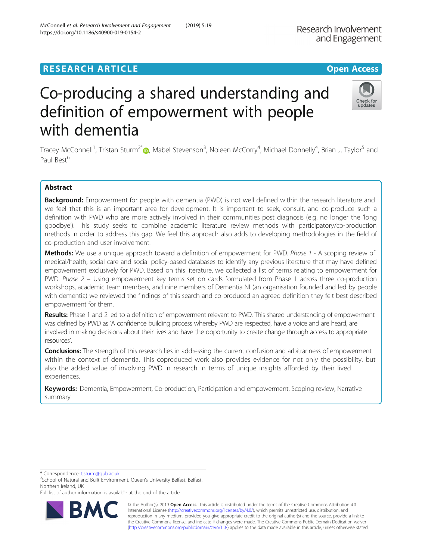# **RESEARCH ARTICLE Example 2014 12:30 THE Open Access**

# Co-producing a shared understanding and definition of empowerment with people with dementia

Tracey McConnell<sup>1</sup>[,](http://orcid.org/0000-0001-5757-0117) Tristan Sturm<sup>2\*</sup>®, Mabel Stevenson<sup>3</sup>, Noleen McCorry<sup>4</sup>, Michael Donnelly<sup>4</sup>, Brian J. Taylor<sup>5</sup> and Paul Best<sup>6</sup>

## Abstract

Background: Empowerment for people with dementia (PWD) is not well defined within the research literature and we feel that this is an important area for development. It is important to seek, consult, and co-produce such a definition with PWD who are more actively involved in their communities post diagnosis (e.g. no longer the 'long goodbye'). This study seeks to combine academic literature review methods with participatory/co-production methods in order to address this gap. We feel this approach also adds to developing methodologies in the field of co-production and user involvement.

**Methods:** We use a unique approach toward a definition of empowerment for PWD. Phase 1 - A scoping review of medical/health, social care and social policy-based databases to identify any previous literature that may have defined empowerment exclusively for PWD. Based on this literature, we collected a list of terms relating to empowerment for PWD. Phase 2 – Using empowerment key terms set on cards formulated from Phase 1 across three co-production workshops, academic team members, and nine members of Dementia NI (an organisation founded and led by people with dementia) we reviewed the findings of this search and co-produced an agreed definition they felt best described empowerment for them.

Results: Phase 1 and 2 led to a definition of empowerment relevant to PWD. This shared understanding of empowerment was defined by PWD as 'A confidence building process whereby PWD are respected, have a voice and are heard, are involved in making decisions about their lives and have the opportunity to create change through access to appropriate resources'.

Conclusions: The strength of this research lies in addressing the current confusion and arbitrariness of empowerment within the context of dementia. This coproduced work also provides evidence for not only the possibility, but also the added value of involving PWD in research in terms of unique insights afforded by their lived experiences.

Keywords: Dementia, Empowerment, Co-production, Participation and empowerment, Scoping review, Narrative summary

\* Correspondence: [t.sturm@qub.ac.uk](mailto:t.sturm@qub.ac.uk) <sup>2</sup>

<sup>2</sup>School of Natural and Built Environment, Queen's University Belfast, Belfast, Northern Ireland, UK

Full list of author information is available at the end of the article







updates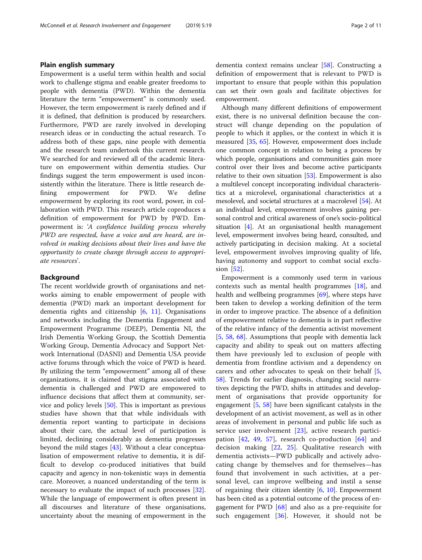## Plain english summary

Empowerment is a useful term within health and social work to challenge stigma and enable greater freedoms to people with dementia (PWD). Within the dementia literature the term "empowerment" is commonly used. However, the term empowerment is rarely defined and if it is defined, that definition is produced by researchers. Furthermore, PWD are rarely involved in developing research ideas or in conducting the actual research. To address both of these gaps, nine people with dementia and the research team undertook this current research. We searched for and reviewed all of the academic literature on empowerment within dementia studies. Our findings suggest the term empowerment is used inconsistently within the literature. There is little research defining empowerment for PWD. We define empowerment by exploring its root word, power, in collaboration with PWD. This research article coproduces a definition of empowerment for PWD by PWD. Empowerment is: 'A confidence building process whereby PWD are respected, have a voice and are heard, are involved in making decisions about their lives and have the opportunity to create change through access to appropriate resources'.

## Background

The recent worldwide growth of organisations and networks aiming to enable empowerment of people with dementia (PWD) mark an important development for dementia rights and citizenship  $[6, 11]$  $[6, 11]$  $[6, 11]$  $[6, 11]$ . Organisations and networks including the Dementia Engagement and Empowerment Programme (DEEP), Dementia NI, the Irish Dementia Working Group, the Scottish Dementia Working Group, Dementia Advocacy and Support Network International (DASNI) and Dementia USA provide active forums through which the voice of PWD is heard. By utilizing the term "empowerment" among all of these organizations, it is claimed that stigma associated with dementia is challenged and PWD are empowered to influence decisions that affect them at community, service and policy levels [[50](#page-10-0)]. This is important as previous studies have shown that that while individuals with dementia report wanting to participate in decisions about their care, the actual level of participation is limited, declining considerably as dementia progresses beyond the mild stages [\[43](#page-10-0)]. Without a clear conceptualisation of empowerment relative to dementia, it is difficult to develop co-produced initiatives that build capacity and agency in non-tokenistic ways in dementia care. Moreover, a nuanced understanding of the term is necessary to evaluate the impact of such processes [\[32](#page-10-0)]. While the language of empowerment is often present in all discourses and literature of these organisations, uncertainty about the meaning of empowerment in the dementia context remains unclear [[58](#page-10-0)]. Constructing a definition of empowerment that is relevant to PWD is important to ensure that people within this population can set their own goals and facilitate objectives for empowerment.

Although many different definitions of empowerment exist, there is no universal definition because the construct will change depending on the population of people to which it applies, or the context in which it is measured [\[35,](#page-10-0) [65](#page-10-0)]. However, empowerment does include one common concept in relation to being a process by which people, organisations and communities gain more control over their lives and become active participants relative to their own situation [[53](#page-10-0)]. Empowerment is also a multilevel concept incorporating individual characteristics at a microlevel, organisational characteristics at a mesolevel, and societal structures at a macrolevel [[54](#page-10-0)]. At an individual level, empowerment involves gaining personal control and critical awareness of one's socio-political situation [\[4\]](#page-9-0). At an organisational health management level, empowerment involves being heard, consulted, and actively participating in decision making. At a societal level, empowerment involves improving quality of life, having autonomy and support to combat social exclusion [\[52](#page-10-0)].

Empowerment is a commonly used term in various contexts such as mental health programmes [\[18](#page-9-0)], and health and wellbeing programmes [[69](#page-10-0)], where steps have been taken to develop a working definition of the term in order to improve practice. The absence of a definition of empowerment relative to dementia is in part reflective of the relative infancy of the dementia activist movement [[5,](#page-9-0) [58](#page-10-0), [68\]](#page-10-0). Assumptions that people with dementia lack capacity and ability to speak out on matters affecting them have previously led to exclusion of people with dementia from frontline activism and a dependency on carers and other advocates to speak on their behalf [\[5](#page-9-0), [58\]](#page-10-0). Trends for earlier diagnosis, changing social narratives depicting the PWD, shifts in attitudes and development of organisations that provide opportunity for engagement [\[5](#page-9-0), [58\]](#page-10-0) have been significant catalysts in the development of an activist movement, as well as in other areas of involvement in personal and public life such as service user involvement [[23\]](#page-9-0), active research participation [[42,](#page-10-0) [49,](#page-10-0) [57](#page-10-0)], research co-production [[64\]](#page-10-0) and decision making [[22](#page-9-0), [25\]](#page-10-0). Qualitative research with dementia activists—PWD publically and actively advocating change by themselves and for themselves—has found that involvement in such activities, at a personal level, can improve wellbeing and instil a sense of regaining their citizen identity  $[6, 10]$  $[6, 10]$  $[6, 10]$ . Empowerment has been cited as a potential outcome of the process of engagement for PWD  $[68]$  $[68]$  and also as a pre-requisite for such engagement [\[36](#page-10-0)]. However, it should not be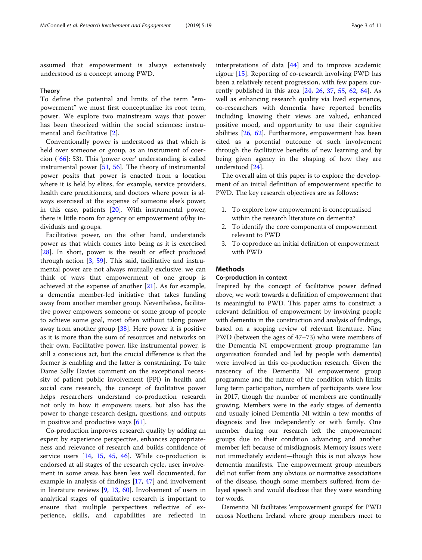assumed that empowerment is always extensively understood as a concept among PWD.

#### Theory

To define the potential and limits of the term "empowerment" we must first conceptualize its root term, power. We explore two mainstream ways that power has been theorized within the social sciences: instrumental and facilitative [\[2](#page-9-0)].

Conventionally power is understood as that which is held over someone or group, as an instrument of coercion ([[66\]](#page-10-0): 53). This 'power over' understanding is called instrumental power [\[51,](#page-10-0) [56](#page-10-0)]. The theory of instrumental power posits that power is enacted from a location where it is held by elites, for example, service providers, health care practitioners, and doctors where power is always exercised at the expense of someone else's power, in this case, patients [[20\]](#page-9-0). With instrumental power, there is little room for agency or empowerment of/by individuals and groups.

Facilitative power, on the other hand, understands power as that which comes into being as it is exercised [[28\]](#page-10-0). In short, power is the result or effect produced through action [\[3](#page-9-0), [59\]](#page-10-0). This said, facilitative and instrumental power are not always mutually exclusive; we can think of ways that empowerment of one group is achieved at the expense of another [\[21\]](#page-9-0). As for example, a dementia member-led initiative that takes funding away from another member group. Nevertheless, facilitative power empowers someone or some group of people to achieve some goal, most often without taking power away from another group [\[38](#page-10-0)]. Here power it is positive as it is more than the sum of resources and networks on their own. Facilitative power, like instrumental power, is still a conscious act, but the crucial difference is that the former is enabling and the latter is constraining. To take Dame Sally Davies comment on the exceptional necessity of patient public involvement (PPI) in health and social care research, the concept of facilitative power helps researchers understand co-production research not only in how it empowers users, but also has the power to change research design, questions, and outputs in positive and productive ways [[61\]](#page-10-0).

Co-production improves research quality by adding an expert by experience perspective, enhances appropriateness and relevance of research and builds confidence of service users [\[14,](#page-9-0) [15](#page-9-0), [45](#page-10-0), [46](#page-10-0)]. While co-production is endorsed at all stages of the research cycle, user involvement in some areas has been less well documented, for example in analysis of findings [\[17](#page-9-0), [47](#page-10-0)] and involvement in literature reviews [\[9](#page-9-0), [13](#page-9-0), [60\]](#page-10-0). Involvement of users in analytical stages of qualitative research is important to ensure that multiple perspectives reflective of experience, skills, and capabilities are reflected in interpretations of data [\[44](#page-10-0)] and to improve academic rigour [\[15\]](#page-9-0). Reporting of co-research involving PWD has been a relatively recent progression, with few papers currently published in this area  $[24, 26, 37, 55, 62, 64]$  $[24, 26, 37, 55, 62, 64]$  $[24, 26, 37, 55, 62, 64]$  $[24, 26, 37, 55, 62, 64]$  $[24, 26, 37, 55, 62, 64]$  $[24, 26, 37, 55, 62, 64]$  $[24, 26, 37, 55, 62, 64]$  $[24, 26, 37, 55, 62, 64]$  $[24, 26, 37, 55, 62, 64]$  $[24, 26, 37, 55, 62, 64]$  $[24, 26, 37, 55, 62, 64]$  $[24, 26, 37, 55, 62, 64]$ . As well as enhancing research quality via lived experience, co-researchers with dementia have reported benefits including knowing their views are valued, enhanced positive mood, and opportunity to use their cognitive abilities [\[26](#page-10-0), [62\]](#page-10-0). Furthermore, empowerment has been cited as a potential outcome of such involvement through the facilitative benefits of new learning and by being given agency in the shaping of how they are understood [\[24](#page-9-0)].

The overall aim of this paper is to explore the development of an initial definition of empowerment specific to PWD. The key research objectives are as follows:

- 1. To explore how empowerment is conceptualised within the research literature on dementia?
- 2. To identify the core components of empowerment relevant to PWD
- 3. To coproduce an initial definition of empowerment with PWD

## Methods

#### Co-production in context

Inspired by the concept of facilitative power defined above, we work towards a definition of empowerment that is meaningful to PWD. This paper aims to construct a relevant definition of empowerment by involving people with dementia in the construction and analysis of findings, based on a scoping review of relevant literature. Nine PWD (between the ages of 47–73) who were members of the Dementia NI empowerment group programme (an organisation founded and led by people with dementia) were involved in this co-production research. Given the nascency of the Dementia NI empowerment group programme and the nature of the condition which limits long term participation, numbers of participants were low in 2017, though the number of members are continually growing. Members were in the early stages of dementia and usually joined Dementia NI within a few months of diagnosis and live independently or with family. One member during our research left the empowerment groups due to their condition advancing and another member left because of misdiagnosis. Memory issues were not immediately evident—though this is not always how dementia manifests. The empowerment group members did not suffer from any obvious or normative associations of the disease, though some members suffered from delayed speech and would disclose that they were searching for words.

Dementia NI facilitates 'empowerment groups' for PWD across Northern Ireland where group members meet to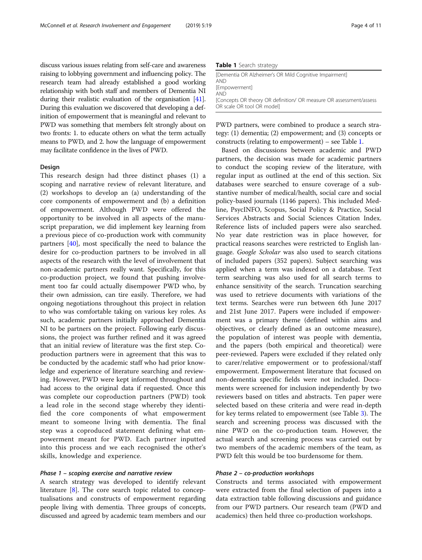discuss various issues relating from self-care and awareness raising to lobbying government and influencing policy. The research team had already established a good working relationship with both staff and members of Dementia NI during their realistic evaluation of the organisation [[41](#page-10-0)]. During this evaluation we discovered that developing a definition of empowerment that is meaningful and relevant to PWD was something that members felt strongly about on two fronts: 1. to educate others on what the term actually means to PWD, and 2. how the language of empowerment may facilitate confidence in the lives of PWD.

#### Design

This research design had three distinct phases (1) a scoping and narrative review of relevant literature, and (2) workshops to develop an (a) understanding of the core components of empowerment and (b) a definition of empowerment. Although PWD were offered the opportunity to be involved in all aspects of the manuscript preparation, we did implement key learning from a previous piece of co-production work with community partners [[40\]](#page-10-0), most specifically the need to balance the desire for co-production partners to be involved in all aspects of the research with the level of involvement that non-academic partners really want. Specifically, for this co-production project, we found that pushing involvement too far could actually disempower PWD who, by their own admission, can tire easily. Therefore, we had ongoing negotiations throughout this project in relation to who was comfortable taking on various key roles. As such, academic partners initially approached Dementia NI to be partners on the project. Following early discussions, the project was further refined and it was agreed that an initial review of literature was the first step. Coproduction partners were in agreement that this was to be conducted by the academic staff who had prior knowledge and experience of literature searching and reviewing. However, PWD were kept informed throughout and had access to the original data if requested. Once this was complete our coproduction partners (PWD) took a lead role in the second stage whereby they identified the core components of what empowerment meant to someone living with dementia. The final step was a coproduced statement defining what empowerment meant for PWD. Each partner inputted into this process and we each recognised the other's skills, knowledge and experience.

## Phase 1 – scoping exercise and narrative review

A search strategy was developed to identify relevant literature [\[8](#page-9-0)]. The core search topic related to conceptualisations and constructs of empowerment regarding people living with dementia. Three groups of concepts, discussed and agreed by academic team members and our

|  |  |  | Table 1 Search strategy |
|--|--|--|-------------------------|
|--|--|--|-------------------------|

| [Dementia OR Alzheimer's OR Mild Cognitive Impairment]             |
|--------------------------------------------------------------------|
| <b>AND</b>                                                         |
| [Empowerment]                                                      |
| <b>AND</b>                                                         |
| [Concepts OR theory OR definition/ OR measure OR assessment/assess |
| OR scale OR tool OR modell                                         |

PWD partners, were combined to produce a search strategy: (1) dementia; (2) empowerment; and (3) concepts or constructs (relating to empowerment) – see Table 1.

Based on discussions between academic and PWD partners, the decision was made for academic partners to conduct the scoping review of the literature, with regular input as outlined at the end of this section. Six databases were searched to ensure coverage of a substantive number of medical/health, social care and social policy-based journals (1146 papers). This included Medline, PsycINFO, Scopus, Social Policy & Practice, Social Services Abstracts and Social Sciences Citation Index. Reference lists of included papers were also searched. No year date restriction was in place however, for practical reasons searches were restricted to English language. Google Scholar was also used to search citations of included papers (352 papers). Subject searching was applied when a term was indexed on a database. Text term searching was also used for all search terms to enhance sensitivity of the search. Truncation searching was used to retrieve documents with variations of the text terms. Searches were run between 6th June 2017 and 21st June 2017. Papers were included if empowerment was a primary theme (defined within aims and objectives, or clearly defined as an outcome measure), the population of interest was people with dementia, and the papers (both empirical and theoretical) were peer-reviewed. Papers were excluded if they related only to carer/relative empowerment or to professional/staff empowerment. Empowerment literature that focused on non-dementia specific fields were not included. Documents were screened for inclusion independently by two reviewers based on titles and abstracts. Ten paper were selected based on these criteria and were read in-depth for key terms related to empowerment (see Table [3](#page-5-0)). The search and screening process was discussed with the nine PWD on the co-production team. However, the actual search and screening process was carried out by two members of the academic members of the team, as PWD felt this would be too burdensome for them.

## Phase 2 – co-production workshops

Constructs and terms associated with empowerment were extracted from the final selection of papers into a data extraction table following discussions and guidance from our PWD partners. Our research team (PWD and academics) then held three co-production workshops.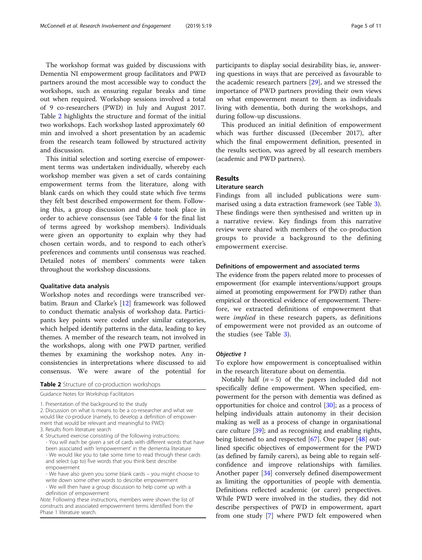The workshop format was guided by discussions with Dementia NI empowerment group facilitators and PWD partners around the most accessible way to conduct the workshops, such as ensuring regular breaks and time out when required. Workshop sessions involved a total of 9 co-researchers (PWD) in July and August 2017. Table 2 highlights the structure and format of the initial two workshops. Each workshop lasted approximately 60 min and involved a short presentation by an academic from the research team followed by structured activity and discussion.

This initial selection and sorting exercise of empowerment terms was undertaken individually, whereby each workshop member was given a set of cards containing empowerment terms from the literature, along with blank cards on which they could state which five terms they felt best described empowerment for them. Following this, a group discussion and debate took place in order to achieve consensus (see Table [4](#page-6-0) for the final list of terms agreed by workshop members). Individuals were given an opportunity to explain why they had chosen certain words, and to respond to each other's preferences and comments until consensus was reached. Detailed notes of members' comments were taken throughout the workshop discussions.

## Qualitative data analysis

Workshop notes and recordings were transcribed verbatim. Braun and Clarke's [\[12\]](#page-9-0) framework was followed to conduct thematic analysis of workshop data. Participants key points were coded under similar categories, which helped identify patterns in the data, leading to key themes. A member of the research team, not involved in the workshops, along with one PWD partner, verified themes by examining the workshop notes. Any inconsistencies in interpretations where discussed to aid consensus. We were aware of the potential for

**Table 2** Structure of co-production workshops

Guidance Notes for Workshop Facilitators

1. Presentation of the background to the study

2. Discussion on what is means to be a co-researcher and what we would like co-produce (namely, to develop a definition of empowerment that would be relevant and meaningful to PWD) 3. Results from literature search

- 4. Structured exercise consisting of the following instructions: - You will each be given a set of cards with different words that have been associated with 'empowerment' in the dementia literature - We would like you to take some time to read through these cards and select (up to) five words that you think best describe empowerment
	- We have also given you some blank cards you might choose to write down some other words to describe empowerment
	- We will then have a group discussion to help come up with a definition of empowerment
- Note. Following these instructions, members were shown the list of constructs and associated empowerment terms identified from the Phase 1 literature search.

participants to display social desirability bias, ie, answering questions in ways that are perceived as favourable to the academic research partners [\[29](#page-10-0)], and we stressed the importance of PWD partners providing their own views on what empowerment meant to them as individuals living with dementia, both during the workshops, and during follow-up discussions.

This produced an initial definition of empowerment which was further discussed (December 2017), after which the final empowerment definition, presented in the results section, was agreed by all research members (academic and PWD partners).

## Results

## Literature search

Findings from all included publications were summarised using a data extraction framework (see Table [3](#page-5-0)). These findings were then synthesised and written up in a narrative review. Key findings from this narrative review were shared with members of the co-production groups to provide a background to the defining empowerment exercise.

## Definitions of empowerment and associated terms

The evidence from the papers related more to processes of empowerment (for example interventions/support groups aimed at promoting empowerment for PWD) rather than empirical or theoretical evidence of empowerment. Therefore, we extracted definitions of empowerment that were *implied* in these research papers, as definitions of empowerment were not provided as an outcome of the studies (see Table [3\)](#page-5-0).

## Objective 1

To explore how empowerment is conceptualised within in the research literature about on dementia.

Notably half  $(n = 5)$  of the papers included did not specifically define empowerment. When specified, empowerment for the person with dementia was defined as opportunities for choice and control [\[30](#page-10-0)]; as a process of helping individuals attain autonomy in their decision making as well as a process of change in organisational care culture [[39\]](#page-10-0); and as recognising and enabling rights, being listened to and respected [\[67](#page-10-0)]. One paper [[48\]](#page-10-0) outlined specific objectives of empowerment for the PWD (as defined by family carers), as being able to regain selfconfidence and improve relationships with families. Another paper [[34\]](#page-10-0) conversely defined disempowerment as limiting the opportunities of people with dementia. Definitions reflected academic (or carer) perspectives. While PWD were involved in the studies, they did not describe perspectives of PWD in empowerment, apart from one study [\[7](#page-9-0)] where PWD felt empowered when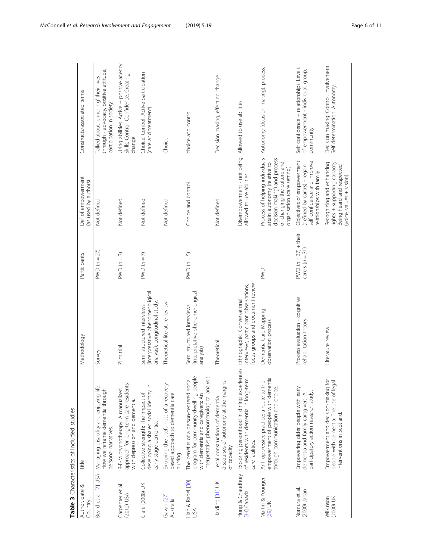<span id="page-5-0"></span>

| リニソリソココ                         | つりころこう フリフラニリニ                                                                                                                                                    |                                                                                                           |                                             |                                                                                                                                                               |                                                                                                             |
|---------------------------------|-------------------------------------------------------------------------------------------------------------------------------------------------------------------|-----------------------------------------------------------------------------------------------------------|---------------------------------------------|---------------------------------------------------------------------------------------------------------------------------------------------------------------|-------------------------------------------------------------------------------------------------------------|
| Author, date &<br>Country       | Title                                                                                                                                                             | Methodology                                                                                               | Participants                                | Def of empowerment<br>(as used by authors)                                                                                                                    | Constructs/associated terms                                                                                 |
| Beard et al. [7] USA            | Managing disability and enjoying life:<br>How we reframe dementia through<br>personal narratives.                                                                 | Survey                                                                                                    | PWD $(n = 27)$                              | Not defined                                                                                                                                                   | through - advocacy, positive attitude,<br>Talked about 'enriching' their lives<br>participation in society. |
| Carpenter et al.<br>(2012) USA  | approach for long-term care residents<br>R-E-M psychotherapy: A manualized<br>with depression and dementia.                                                       | Pilot trial                                                                                               | PWD ( $n = 3$ )                             | Not defined.                                                                                                                                                  | Using abilities. Active + positive agency.<br>Skills. Control. Confidence. Creating<br>change.              |
| Clare (2008) UK                 | developing a shared social identity in<br>Collective strength: The impact of<br>early-stage dementia.                                                             | (Interpretative phenomenoligical<br>analysis). Longitudinal study.<br>Semi structured interviews          | PWD $(n = 7)$                               | Not defined.                                                                                                                                                  | Choice. Control. Active participation<br>care and treatment).                                               |
| Gavan [27]<br>Australia         | Exploring the usefulness of a recovery-<br>based approach to dementia care<br>nursing.                                                                            | Theoretical literature review                                                                             |                                             | Not defined.                                                                                                                                                  | Choice                                                                                                      |
| Han & Radel [30]<br>USA         | program for community-dwelling people<br>nterpretative phenomenological analysis.<br>The benefits of a person-centered social<br>with dementia and caregivers: An | (Interpretative phenomenoligical<br>Semi structured interviews<br>analysis)                               | $PWD$ (n = 5)                               | Choice and control.                                                                                                                                           | choice and control                                                                                          |
| Harding [31] UK                 | discourses of autonomy at the margins<br>Legal constructions of dementia:<br>of capacity                                                                          | Theoretical                                                                                               |                                             | Not defined.                                                                                                                                                  | Decision making, effecting change                                                                           |
| Hung & Chaudhury<br>[34] Canada | Exploring personhood in dining experiences<br>of residents with dementia in long-term<br>care facilities.                                                         | focus groups and document review<br>interviews, participant observations,<br>Ethnographic. Conversational |                                             | Disempowerment - not being Allowed to use abilities<br>allowed to use abilities.                                                                              |                                                                                                             |
| Martin & Younger<br>[39] UK     | empowerment of people with dementia<br>Anti oppressive practice: a route to the<br>through communication and choice.                                              | Dementia Care Mapping<br>observation process.                                                             | PWD                                         | Process of helping individuals<br>decision making) and process<br>of changing the culture and<br>attain autonomy (relative to<br>organisation (care setting). | Autonomy (decision making), process.                                                                        |
| Nomura et al.<br>(2000) Japan   | Empowering older people with early<br>participatory action research study.<br>dementia and family caregivers: A                                                   | Process evaluation - cognitive<br>rehabilitation theory                                                   | PWD $(n = 37) +$ their<br>carers $(n = 31)$ | Objectives of empowerment<br>self confidence and improve<br>(defined by carers) - regain<br>elationships with family.                                         | Self confidence + relationships. Levels<br>of empowerment - individual, group,<br>community                 |
| Wilkinson<br>$(2000)$ UK        | Empowerment and decision-making for<br>people with dementia: The use of legal<br>interventions in Scotland.                                                       | Literature review                                                                                         |                                             | rights + supporting capacity<br>Recognizing and enhancing<br>Being heard and respected<br>(voice, values + vision).                                           | Decision making, Control. Involvement.<br>Self determination. Autonomy.                                     |
|                                 |                                                                                                                                                                   |                                                                                                           |                                             |                                                                                                                                                               |                                                                                                             |

Table 3 Characteristics of included studies Table 3 Characteristics of included studies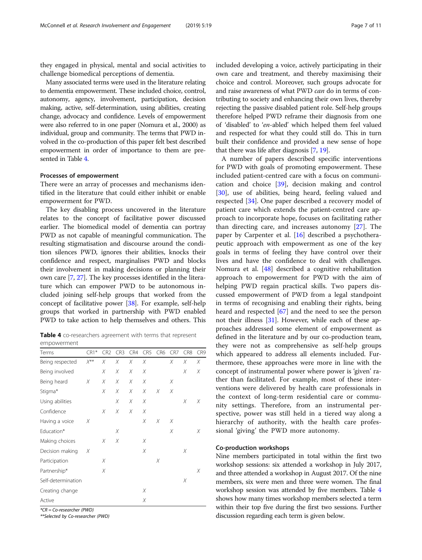<span id="page-6-0"></span>they engaged in physical, mental and social activities to challenge biomedical perceptions of dementia.

Many associated terms were used in the literature relating to dementia empowerment. These included choice, control, autonomy, agency, involvement, participation, decision making, active, self-determination, using abilities, creating change, advocacy and confidence. Levels of empowerment were also referred to in one paper (Nomura et al., 2000) as individual, group and community. The terms that PWD involved in the co-production of this paper felt best described empowerment in order of importance to them are presented in Table 4.

## Processes of empowerment

There were an array of processes and mechanisms identified in the literature that could either inhibit or enable empowerment for PWD.

The key disabling process uncovered in the literature relates to the concept of facilitative power discussed earlier. The biomedical model of dementia can portray PWD as not capable of meaningful communication. The resulting stigmatisation and discourse around the condition silences PWD, ignores their abilities, knocks their confidence and respect, marginalises PWD and blocks their involvement in making decisions or planning their own care [[7,](#page-9-0) [27\]](#page-10-0). The key processes identified in the literature which can empower PWD to be autonomous included joining self-help groups that worked from the concept of facilitative power [[38](#page-10-0)]. For example, self-help groups that worked in partnership with PWD enabled PWD to take action to help themselves and others. This

Table 4 co-researchers agreement with terms that represent empowerment

| Terms              | $CR1*$   | CR <sub>2</sub> | CR3 | CR4 | CR5 | CR <sub>6</sub> | CR <sub>7</sub> | CR8 | CR9 |
|--------------------|----------|-----------------|-----|-----|-----|-----------------|-----------------|-----|-----|
| Being respected    | $X^{**}$ | X               | X   | X   | X   |                 | X               | X   | X   |
| Being involved     |          | X               | X   | X   | X   |                 |                 | X   | X   |
| Being heard        | X        | X               | X   | X   | X   |                 | X               |     |     |
| Stigma*            |          | X               | X   | X   | X   | X               | X               |     |     |
| Using abilities    |          |                 | X   | X   | Χ   |                 |                 | X   | X   |
| Confidence         |          | X               | X   | X   | X   |                 |                 |     |     |
| Having a voice     | X        |                 |     |     | X   | X               | X               |     |     |
| Education*         |          |                 | X   |     |     |                 | X               |     | X   |
| Making choices     |          | X               | X   |     | X   |                 |                 |     |     |
| Decision making    | X        |                 |     |     | X   |                 |                 | X   |     |
| Participation      |          | X               |     |     |     | X               |                 |     |     |
| Partnership*       |          | X               |     |     |     |                 |                 |     | X   |
| Self-determination |          |                 |     |     |     |                 |                 | X   |     |
| Creating change    |          |                 |     |     | X   |                 |                 |     |     |
| Active             |          |                 |     |     | X   |                 |                 |     |     |

\*CR = Co-researcher (PWD)

\*\*Selected by Co-researcher (PWD)

included developing a voice, actively participating in their own care and treatment, and thereby maximising their choice and control. Moreover, such groups advocate for and raise awareness of what PWD can do in terms of contributing to society and enhancing their own lives, thereby rejecting the passive disabled patient role. Self-help groups therefore helped PWD reframe their diagnosis from one of 'disabled' to 'en-abled' which helped them feel valued and respected for what they could still do. This in turn built their confidence and provided a new sense of hope that there was life after diagnosis [[7](#page-9-0), [19\]](#page-9-0).

A number of papers described specific interventions for PWD with goals of promoting empowerment. These included patient-centred care with a focus on communication and choice [[39\]](#page-10-0), decision making and control [[30\]](#page-10-0), use of abilities, being heard, feeling valued and respected [[34\]](#page-10-0). One paper described a recovery model of patient care which extends the patient-centred care approach to incorporate hope, focuses on facilitating rather than directing care, and increases autonomy [[27](#page-10-0)]. The paper by Carpenter et al. [[16\]](#page-9-0) described a psychotherapeutic approach with empowerment as one of the key goals in terms of feeling they have control over their lives and have the confidence to deal with challenges. Nomura et al. [[48](#page-10-0)] described a cognitive rehabilitation approach to empowerment for PWD with the aim of helping PWD regain practical skills. Two papers discussed empowerment of PWD from a legal standpoint in terms of recognising and enabling their rights, being heard and respected [\[67](#page-10-0)] and the need to see the person not their illness [\[31\]](#page-10-0). However, while each of these approaches addressed some element of empowerment as defined in the literature and by our co-production team, they were not as comprehensive as self-help groups which appeared to address all elements included. Furthermore, these approaches were more in line with the concept of instrumental power where power is 'given' rather than facilitated. For example, most of these interventions were delivered by health care professionals in the context of long-term residential care or community settings. Therefore, from an instrumental perspective, power was still held in a tiered way along a hierarchy of authority, with the health care professional 'giving' the PWD more autonomy.

## Co-production workshops

Nine members participated in total within the first two workshop sessions: six attended a workshop in July 2017, and three attended a workshop in August 2017. Of the nine members, six were men and three were women. The final workshop session was attended by five members. Table 4 shows how many times workshop members selected a term within their top five during the first two sessions. Further discussion regarding each term is given below.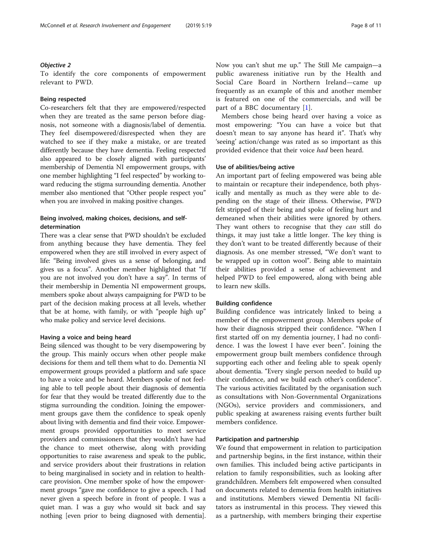## Objective 2

To identify the core components of empowerment relevant to PWD.

## Being respected

Co-researchers felt that they are empowered/respected when they are treated as the same person before diagnosis, not someone with a diagnosis/label of dementia. They feel disempowered/disrespected when they are watched to see if they make a mistake, or are treated differently because they have dementia. Feeling respected also appeared to be closely aligned with participants' membership of Dementia NI empowerment groups, with one member highlighting "I feel respected" by working toward reducing the stigma surrounding dementia. Another member also mentioned that "Other people respect you" when you are involved in making positive changes.

## Being involved, making choices, decisions, and selfdetermination

There was a clear sense that PWD shouldn't be excluded from anything because they have dementia. They feel empowered when they are still involved in every aspect of life: "Being involved gives us a sense of belonging, and gives us a focus". Another member highlighted that "If you are not involved you don't have a say". In terms of their membership in Dementia NI empowerment groups, members spoke about always campaigning for PWD to be part of the decision making process at all levels, whether that be at home, with family, or with "people high up" who make policy and service level decisions.

## Having a voice and being heard

Being silenced was thought to be very disempowering by the group. This mainly occurs when other people make decisions for them and tell them what to do. Dementia NI empowerment groups provided a platform and safe space to have a voice and be heard. Members spoke of not feeling able to tell people about their diagnosis of dementia for fear that they would be treated differently due to the stigma surrounding the condition. Joining the empowerment groups gave them the confidence to speak openly about living with dementia and find their voice. Empowerment groups provided opportunities to meet service providers and commissioners that they wouldn't have had the chance to meet otherwise, along with providing opportunities to raise awareness and speak to the public, and service providers about their frustrations in relation to being marginalised in society and in relation to healthcare provision. One member spoke of how the empowerment groups "gave me confidence to give a speech. I had never given a speech before in front of people. I was a quiet man. I was a guy who would sit back and say nothing [even prior to being diagnosed with dementia]. Now you can't shut me up." The Still Me campaign—a public awareness initiative run by the Health and Social Care Board in Northern Ireland—came up frequently as an example of this and another member is featured on one of the commercials, and will be part of a BBC documentary [[1\]](#page-9-0).

Members chose being heard over having a voice as most empowering: "You can have a voice but that doesn't mean to say anyone has heard it". That's why 'seeing' action/change was rated as so important as this provided evidence that their voice had been heard.

#### Use of abilities/being active

An important part of feeling empowered was being able to maintain or recapture their independence, both physically and mentally as much as they were able to depending on the stage of their illness. Otherwise, PWD felt stripped of their being and spoke of feeling hurt and demeaned when their abilities were ignored by others. They want others to recognise that they *can* still do things, it may just take a little longer. The key thing is they don't want to be treated differently because of their diagnosis. As one member stressed, "We don't want to be wrapped up in cotton wool". Being able to maintain their abilities provided a sense of achievement and helped PWD to feel empowered, along with being able to learn new skills.

## Building confidence

Building confidence was intricately linked to being a member of the empowerment group. Members spoke of how their diagnosis stripped their confidence. "When I first started off on my dementia journey, I had no confidence. I was the lowest I have ever been". Joining the empowerment group built members confidence through supporting each other and feeling able to speak openly about dementia. "Every single person needed to build up their confidence, and we build each other's confidence". The various activities facilitated by the organisation such as consultations with Non-Governmental Organizations (NGOs), service providers and commissioners, and public speaking at awareness raising events further built members confidence.

#### Participation and partnership

We found that empowerment in relation to participation and partnership begins, in the first instance, within their own families. This included being active participants in relation to family responsibilities, such as looking after grandchildren. Members felt empowered when consulted on documents related to dementia from health initiatives and institutions. Members viewed Dementia NI facilitators as instrumental in this process. They viewed this as a partnership, with members bringing their expertise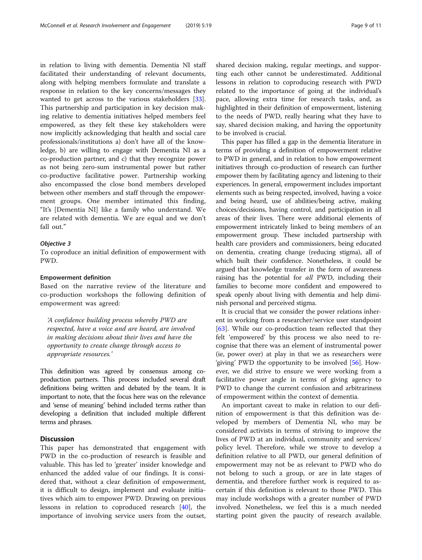in relation to living with dementia. Dementia NI staff facilitated their understanding of relevant documents, along with helping members formulate and translate a response in relation to the key concerns/messages they wanted to get across to the various stakeholders [\[33](#page-10-0)]. This partnership and participation in key decision making relative to dementia initiatives helped members feel empowered, as they felt these key stakeholders were now implicitly acknowledging that health and social care professionals/institutions a) don't have all of the knowledge, b) are willing to engage with Dementia NI as a co-production partner, and c) that they recognize power as not being zero-sum instrumental power but rather co-productive facilitative power. Partnership working also encompassed the close bond members developed between other members and staff through the empowerment groups. One member intimated this finding, "It's [Dementia NI] like a family who understand. We are related with dementia. We are equal and we don't fall out."

## Objective 3

To coproduce an initial definition of empowerment with PWD.

#### Empowerment definition

Based on the narrative review of the literature and co-production workshops the following definition of empowerment was agreed:

'A confidence building process whereby PWD are respected, have a voice and are heard, are involved in making decisions about their lives and have the opportunity to create change through access to appropriate resources.'

This definition was agreed by consensus among coproduction partners. This process included several draft definitions being written and debated by the team. It is important to note, that the focus here was on the relevance and 'sense of meaning' behind included terms rather than developing a definition that included multiple different terms and phrases.

## **Discussion**

This paper has demonstrated that engagement with PWD in the co-production of research is feasible and valuable. This has led to 'greater' insider knowledge and enhanced the added value of our findings. It is considered that, without a clear definition of empowerment, it is difficult to design, implement and evaluate initiatives which aim to empower PWD. Drawing on previous lessons in relation to coproduced research [\[40](#page-10-0)], the importance of involving service users from the outset, shared decision making, regular meetings, and supporting each other cannot be underestimated. Additional lessons in relation to coproducing research with PWD related to the importance of going at the individual's pace, allowing extra time for research tasks, and, as highlighted in their definition of empowerment, listening to the needs of PWD, really hearing what they have to say, shared decision making, and having the opportunity to be involved is crucial.

This paper has filled a gap in the dementia literature in terms of providing a definition of empowerment relative to PWD in general, and in relation to how empowerment initiatives through co-production of research can further empower them by facilitating agency and listening to their experiences. In general, empowerment includes important elements such as being respected, involved, having a voice and being heard, use of abilities/being active, making choices/decisions, having control, and participation in all areas of their lives. There were additional elements of empowerment intricately linked to being members of an empowerment group. These included partnership with health care providers and commissioners, being educated on dementia, creating change (reducing stigma), all of which built their confidence. Nonetheless, it could be argued that knowledge transfer in the form of awareness raising has the potential for all PWD, including their families to become more confident and empowered to speak openly about living with dementia and help diminish personal and perceived stigma.

It is crucial that we consider the power relations inherent in working from a researcher/service user standpoint [[63\]](#page-10-0). While our co-production team reflected that they felt 'empowered' by this process we also need to recognise that there was an element of instrumental power (ie, power over) at play in that we as researchers were 'giving' PWD the opportunity to be involved [[56\]](#page-10-0). However, we did strive to ensure we were working from a facilitative power angle in terms of giving agency to PWD to change the current confusion and arbitrariness of empowerment within the context of dementia.

An important caveat to make in relation to our definition of empowerment is that this definition was developed by members of Dementia NI, who may be considered activists in terms of striving to improve the lives of PWD at an individual, community and services/ policy level. Therefore, while we strove to develop a definition relative to all PWD, our general definition of empowerment may not be as relevant to PWD who do not belong to such a group, or are in late stages of dementia, and therefore further work is required to ascertain if this definition is relevant to those PWD. This may include workshops with a greater number of PWD involved. Nonetheless, we feel this is a much needed starting point given the paucity of research available.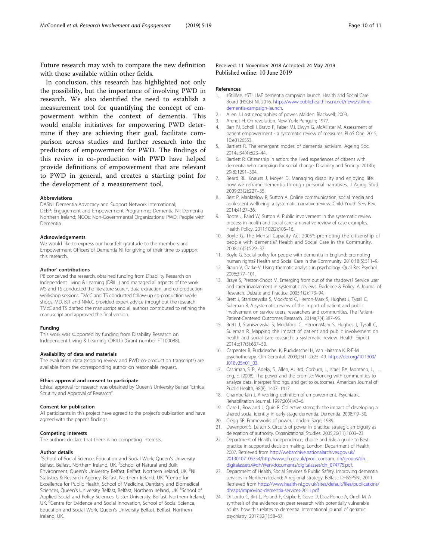<span id="page-9-0"></span>Future research may wish to compare the new definition with those available within other fields.

In conclusion, this research has highlighted not only the possibility, but the importance of involving PWD in research. We also identified the need to establish a measurement tool for quantifying the concept of empowerment within the context of dementia. This would enable initiatives for empowering PWD determine if they are achieving their goal, facilitate comparison across studies and further research into the predictors of empowerment for PWD. The findings of this review in co-production with PWD have helped provide definitions of empowerment that are relevant to PWD in general, and creates a starting point for the development of a measurement tool.

#### Abbreviations

DASNI: Dementia Advocacy and Support Network International; DEEP: Engagement and Empowerment Programme; Dementia NI: Dementia Northern Ireland; NGOs: Non-Governmental Organizations; PWD: People with Dementia

#### Acknowledgements

We would like to express our heartfelt gratitude to the members and Empowerment Officers of Dementia NI for giving of their time to support this research.

#### Author' contributions

PB conceived the research, obtained funding from Disability Research on Independent Living & Learning (DRILL) and managed all aspects of the work. MS and TS conducted the literature search, data extraction, and co-production workshop sessions. TMcC and TS conducted follow-up co-production workshops. MD, BJT and NMcC provided expert advice throughout the research. TMcC and TS drafted the manuscript and all authors contributed to refining the manuscript and approved the final version.

#### Funding

This work was supported by funding from Disability Research on Independent Living & Learning (DRILL) (Grant number FT100088).

#### Availability of data and materials

The evaluation data (scoping review and PWD co-production transcripts) are available from the corresponding author on reasonable request.

#### Ethics approval and consent to participate

Ethical approval for research was obtained by Queen's University Belfast "Ethical Scrutiny and Approval of Research".

#### Consent for publication

All participants in this project have agreed to the project's publication and have agreed with the paper's findings.

#### Competing interests

The authors declare that there is no competing interests.

#### Author details

<sup>1</sup>School of Social Science, Education and Social Work, Queen's University Belfast, Belfast, Northern Ireland, UK. <sup>2</sup>School of Natural and Built Environment, Queen's University Belfast, Belfast, Northern Ireland, UK. <sup>3</sup>NI Statistics & Research Agency, Belfast, Northern Ireland, UK. <sup>4</sup>Centre for Excellence for Public Health, School of Medicine, Dentistry and Biomedical Sciences, Queen's University Belfast, Belfast, Northern Ireland, UK. <sup>5</sup>School of Applied Social and Policy Sciences, Ulster University, Belfast, Northern Ireland, UK. <sup>6</sup>Centre for Evidence and Social Innovation, School of Social Science, Education and Social Work, Queen's University Belfast, Belfast, Northern Ireland, UK.

Received: 11 November 2018 Accepted: 24 May 2019 Published online: 10 June 2019

#### References

- 1. #StillMe. #STILLME dementia campaign launch. Health and Social Care Board (HSCB) NI. 2016. [https://www.publichealth.hscni.net/news/stillme](https://www.publichealth.hscni.net/news/stillme-dementia-campaign-launch)[dementia-campaign-launch](https://www.publichealth.hscni.net/news/stillme-dementia-campaign-launch).
- 2. Allen J. Lost geographies of power. Maiden: Blackwell; 2003.
- 3. Arendt H. On revolution. New York: Penguin; 1977.
- 4. Barr PJ, Scholl I, Bravo P, Faber MJ, Elwyn G, McAllister M. Assessment of patient empowerment - a systematic review of measures. PLoS One. 2015; 10:e0126553.
- 5. Bartlett R. The emergent modes of dementia activism. Ageing Soc. 2014a;34(4):623–44.
- 6. Bartlett R. Citizenship in action: the lived experiences of citizens with dementia who campaign for social change. Disability and Society. 2014b; 29(8):1291–304.
- 7. Beard RL, Knauss J, Moyer D. Managing disability and enjoying life: how we reframe dementia through personal narratives. J Aging Stud. 2009;23(2):227–35.
- 8. Best P, Manktelow R, Sutton A. Online communication, social media and adolescent wellbeing: a systematic narrative review. Child Youth Serv Rev. 2014;41:27–36.
- 9. Boote J, Baird W, Sutton A. Public involvement in the systematic review process in health and social care: a narrative review of case examples. Health Policy. 2011;102(2):105–16.
- 10. Boyle G. The Mental Capacity Act 2005\*: promoting the citizenship of people with dementia? Health and Social Care in the Community. 2008;16(5):529–37.
- 11. Boyle G. Social policy for people with dementia in England: promoting human rights? Health and Social Care in the Community. 2010;18(5):511–9.
- 12. Braun V, Clarke V. Using thematic analysis in psychology. Qual Res Psychol. 2006;3:77–101.
- 13. Braye S, Preston-Shoot M. Emerging from out of the shadows? Service user and carer involvement in systematic reviews. Evidence & Policy: A Journal of Research, Debate and Practice. 2005;1(2):173–94.
- 14. Brett J, Staniszewska S, Mockford C, Herron-Marx S, Hughes J, Tysall C, Suleman R. A systematic review of the impact of patient and public involvement on service users, researchers and communities. The Patient-Patient-Centered Outcomes Research. 2014a;7(4):387–95.
- 15. Brett J, Staniszewska S, Mockford C, Herron-Marx S, Hughes J, Tysall C, Suleman R. Mapping the impact of patient and public involvement on health and social care research: a systematic review. Health Expect. 2014b;17(5):637–50.
- 16. Carpenter B, Ruckdeschel K, Ruckdeschel H, Van Haitsma K. R-E-M psychotherapy. Clin Gerontol. 2003;25(1–2):25–49. [https://doi.org/10.1300/](https://doi.org/10.1300/J018v25n01_03) [J018v25n01\\_03](https://doi.org/10.1300/J018v25n01_03).
- 17. Cashman, S. B., Adeky, S., Allen, AJ 3rd, Corburn, J., Israel, BA, Montano, J., . . . Eng, E. (2008). The power and the promise: Working with communities to analyze data, interpret findings, and get to outcomes. American Journal of Public Health, 98(8), 1407–1417.
- 18. Chamberlain J. A working definition of empowerment. Psychiatric Rehabilitation Journal. 1997;20(4):43–6.
- 19. Clare L, Rowland J, Quin R. Collective strength: the impact of developing a shared social identity in early-stage dementia. Dementia. 2008;7:9–30.
- 20. Clegg SR. Frameworks of power. London: Sage; 1989.
- 21. Davenport S, Leitch S. Circuits of power in practice: strategic ambiguity as delegation of authority. Organizational Studies. 2005;26(11):1603–23.
- 22. Department of Health. Independence, choice and risk: a guide to Best practice in supported decision making. London: Department of Health; 2007. Retrieved from [http://webarchive.nationalarchives.gov.uk/](http://webarchive.nationalarchives.gov.uk/20130107105354/http:/www.dh.gov.uk/prod_consum_dh/groups/dh_digitalassets/@dh/@en/documents/digitalasset/dh_074775.pdf) [20130107105354/http:/www.dh.gov.uk/prod\\_consum\\_dh/groups/dh\\_](http://webarchive.nationalarchives.gov.uk/20130107105354/http:/www.dh.gov.uk/prod_consum_dh/groups/dh_digitalassets/@dh/@en/documents/digitalasset/dh_074775.pdf) [digitalassets/@dh/@en/documents/digitalasset/dh\\_074775.pdf](http://webarchive.nationalarchives.gov.uk/20130107105354/http:/www.dh.gov.uk/prod_consum_dh/groups/dh_digitalassets/@dh/@en/documents/digitalasset/dh_074775.pdf).
- 23. Department of Health, Social Services & Public Safety. Improving dementia services in Northern Ireland: A regional strategy. Belfast: DHSSPSNI; 2011. Retrieved from [https://www.health-ni.gov.uk/sites/default/files/publications/](https://www.health-ni.gov.uk/sites/default/files/publications/dhssps/improving-dementia-services-2011.pdf) [dhssps/improving-dementia-services-2011.pdf](https://www.health-ni.gov.uk/sites/default/files/publications/dhssps/improving-dementia-services-2011.pdf)
- 24. Di Lorito C, Birt L, Poland F, Csipke E, Gove D, Diaz-Ponce A, Orrell M. A synthesis of the evidence on peer research with potentially vulnerable adults: how this relates to dementia. International journal of geriatric psychiatry. 2017;32(1):58–67.